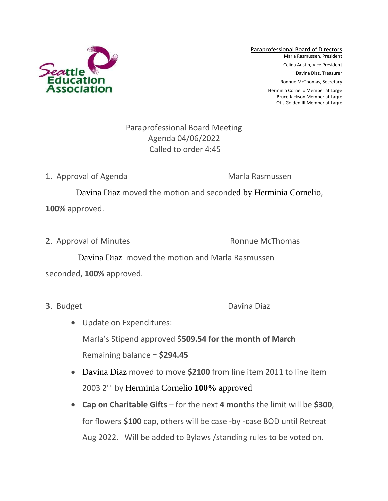

Paraprofessional Board of Directors Marla Rasmussen, President Celina Austin, Vice President Davina Diaz, Treasurer Ronnue McThomas, Secretary Herminia Cornelio Member at Large

Bruce Jackson Member at Large Otis Golden III Member at Large

## Paraprofessional Board Meeting Agenda 04/06/2022 Called to order 4:45

1. Approval of Agenda Marla Rasmussen

Davina Diaz moved the motion and seconded by Herminia Cornelio,

**100%** approved.

2. Approval of Minutes **Ronnue McThomas** 

 Davina Diaz moved the motion and Marla Rasmussen seconded, **100%** approved.

3. Budget Davina Diaz

- Update on Expenditures: Marla's Stipend approved \$**509.54 for the month of March**  Remaining balance = **\$294.45**
- Davina Diaz moved to move **\$2100** from line item 2011 to line item 2003 2nd by Herminia Cornelio **100%** approved
- **Cap on Charitable Gifts** for the next **4 mont**hs the limit will be **\$300**, for flowers **\$100** cap, others will be case -by -case BOD until Retreat Aug 2022. Will be added to Bylaws /standing rules to be voted on.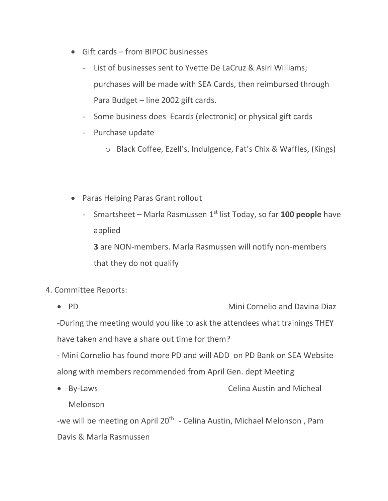- Gift cards from BIPOC businesses
	- List of businesses sent to Yvette De LaCruz & Asiri Williams; purchases will be made with SEA Cards, then reimbursed through Para Budget – line 2002 gift cards.
	- Some business does Ecards (electronic) or physical gift cards
	- Purchase update
		- o Black Coffee, Ezell's, Indulgence, Fat's Chix & Waffles, (Kings)
- Paras Helping Paras Grant rollout

- Smartsheet – Marla Rasmussen 1<sup>st</sup> list Today, so far 100 people have applied **3** are NON-members. Marla Rasmussen will notify non-members that they do not qualify

- 4. Committee Reports:
	- PD Mini Cornelio and Davina Diaz -During the meeting would you like to ask the attendees what trainings THEY have taken and have a share out time for them?

- Mini Cornelio has found more PD and will ADD on PD Bank on SEA Website along with members recommended from April Gen. dept Meeting

• By-Laws Celina Austin and Micheal Melonson

-we will be meeting on April 20<sup>th</sup> - Celina Austin, Michael Melonson, Pam Davis & Marla Rasmussen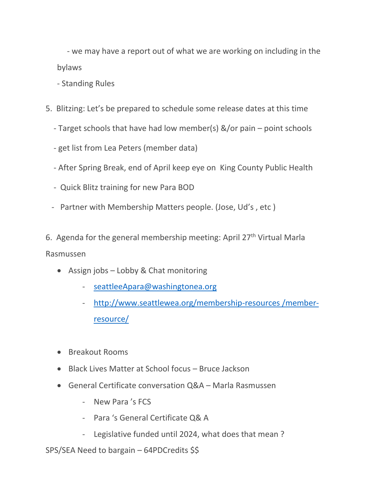- we may have a report out of what we are working on including in the bylaws

- Standing Rules

- 5. Blitzing: Let's be prepared to schedule some release dates at this time
	- Target schools that have had low member(s) &/or pain point schools
	- get list from Lea Peters (member data)
	- After Spring Break, end of April keep eye on King County Public Health
	- Quick Blitz training for new Para BOD
	- Partner with Membership Matters people. (Jose, Ud's , etc )
- 6. Agenda for the general membership meeting: April 27<sup>th</sup> Virtual Marla

Rasmussen

- Assign jobs Lobby & Chat monitoring
	- [seattleeApara@washingtonea.org](mailto:seattleeApara@washingtonea.org)
	- [http://www.seattlewea.org/membership-resources /member](http://www.seattlewea.org/membership-resources%20/member-resource/)[resource/](http://www.seattlewea.org/membership-resources%20/member-resource/)
- Breakout Rooms
- Black Lives Matter at School focus Bruce Jackson
- General Certificate conversation Q&A Marla Rasmussen
	- New Para 's FCS
	- Para 's General Certificate Q& A
	- Legislative funded until 2024, what does that mean ?

SPS/SEA Need to bargain – 64PDCredits \$\$